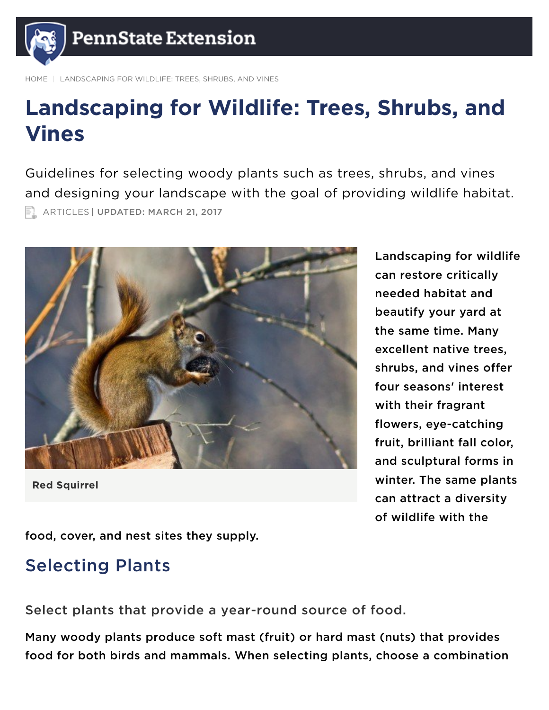

LANDSCAPING FOR WILDLIFE: TREES, SHRUBS, AND VINES

# Landscaping for Wildlife: Trees, Shrubs, and Vines

Guidelines for selecting woody plants such as trees, shrubs, and vines and designing your landscape with the goal of providing wildlife habitat. **EL ARTICLES | UPDATED: MARCH 21, 2017** 



Red Squirrel

Landscaping for wildlife can restore critically needed habitat and beautify your yard at the same time. Many excellent native trees, shrubs, and vines offer four seasons' interest with their fragrant flowers, eye-catching fruit, brilliant fall color, and sculptural forms in winter. The same plants can attract a diversity of wildlife with the

food, cover, and nest sites they supply.

# Selecting Plants

Select plants that provide a year-round source of food.

Many woody plants produce soft mast (fruit) or hard mast (nuts) that provides food for both birds and mammals. When selecting plants, choose a combination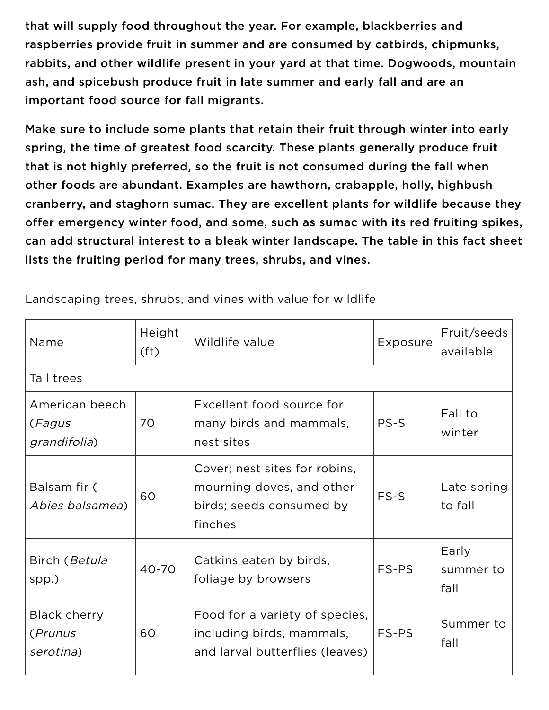that will supply food throughout the year. For example, blackberries and raspberries provide fruit in summer and are consumed by catbirds, chipmunks, rabbits, and other wildlife present in your yard at that time. Dogwoods, mountain ash, and spicebush produce fruit in late summer and early fall and are an important food source for fall migrants.

Make sure to include some plants that retain their fruit through winter into early spring, the time of greatest food scarcity. These plants generally produce fruit that is not highly preferred, so the fruit is not consumed during the fall when other foods are abundant. Examples are hawthorn, crabapple, holly, highbush cranberry, and staghorn sumac. They are excellent plants for wildlife because they offer emergency winter food, and some, such as sumac with its red fruiting spikes, can add structural interest to a bleak winter landscape. The table in this fact sheet lists the fruiting period for many trees, shrubs, and vines.

| Name                                        | Height<br>(f <sup>t</sup> ) | Wildlife value                                                                                    | Exposure | Fruit/seeds<br>available   |
|---------------------------------------------|-----------------------------|---------------------------------------------------------------------------------------------------|----------|----------------------------|
| Tall trees                                  |                             |                                                                                                   |          |                            |
| American beech<br>(Fagus<br>grandifolia)    | 70                          | Excellent food source for<br>many birds and mammals,<br>nest sites                                | PS-S     | Fall to<br>winter          |
| Balsam fir (<br>Abies balsamea)             | 60                          | Cover; nest sites for robins,<br>mourning doves, and other<br>birds; seeds consumed by<br>finches | FS-S     | Late spring<br>to fall     |
| Birch (Betula<br>spp.)                      | 40-70                       | Catkins eaten by birds,<br>foliage by browsers                                                    | FS-PS    | Early<br>summer to<br>fall |
| <b>Black cherry</b><br>(Prunus<br>serotina) | 60                          | Food for a variety of species,<br>including birds, mammals,<br>and larval butterflies (leaves)    | FS-PS    | Summer to<br>fall          |
|                                             |                             |                                                                                                   |          |                            |

Landscaping trees, shrubs, and vines with value for wildlife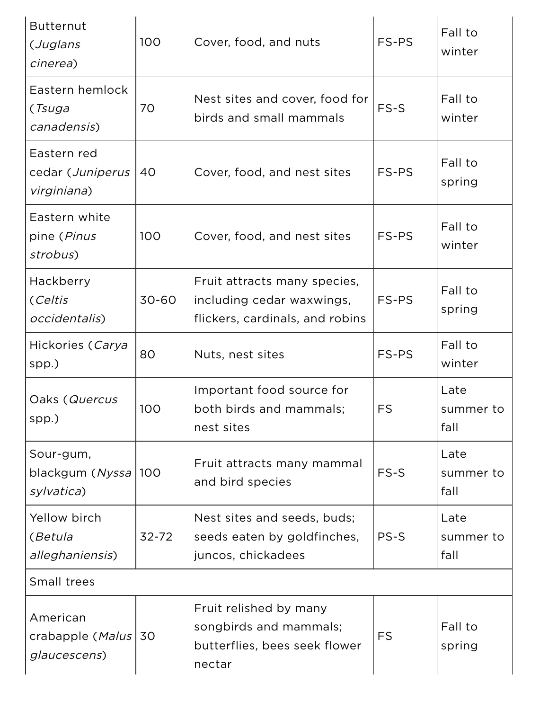| <b>Butternut</b><br>(Juglans<br>cinerea)       | 100       | Cover, food, and nuts                                                                        | FS-PS     | Fall to<br>winter         |
|------------------------------------------------|-----------|----------------------------------------------------------------------------------------------|-----------|---------------------------|
| Eastern hemlock<br>(Tsuga<br>canadensis)       | 70        | Nest sites and cover, food for<br>birds and small mammals                                    | FS-S      | Fall to<br>winter         |
| Eastern red<br>cedar (Juniperus<br>virginiana) | 40        | Cover, food, and nest sites                                                                  | FS-PS     | Fall to<br>spring         |
| Eastern white<br>pine (Pinus<br>strobus)       | 100       | Cover, food, and nest sites                                                                  | FS-PS     | Fall to<br>winter         |
| Hackberry<br>(Celtis<br>occidentalis)          | 30-60     | Fruit attracts many species,<br>including cedar waxwings,<br>flickers, cardinals, and robins | FS-PS     | Fall to<br>spring         |
| Hickories (Carya<br>spp.)                      | 80        | Nuts, nest sites                                                                             | FS-PS     | Fall to<br>winter         |
| Oaks (Quercus<br>spp.)                         | 100       | Important food source for<br>both birds and mammals;<br>nest sites                           | FS        | Late<br>summer to<br>fall |
| Sour-gum,<br>blackgum (Nyssa)<br>sylvatica)    | 100       | Fruit attracts many mammal<br>and bird species                                               | FS-S      | Late<br>summer to<br>fall |
| Yellow birch<br>(Betula<br>alleghaniensis)     | $32 - 72$ | Nest sites and seeds, buds;<br>seeds eaten by goldfinches,<br>juncos, chickadees             | PS-S      | Late<br>summer to<br>fall |
| Small trees                                    |           |                                                                                              |           |                           |
| American<br>crabapple (Malus)<br>glaucescens)  | 30        | Fruit relished by many<br>songbirds and mammals;<br>butterflies, bees seek flower<br>nectar  | <b>FS</b> | Fall to<br>spring         |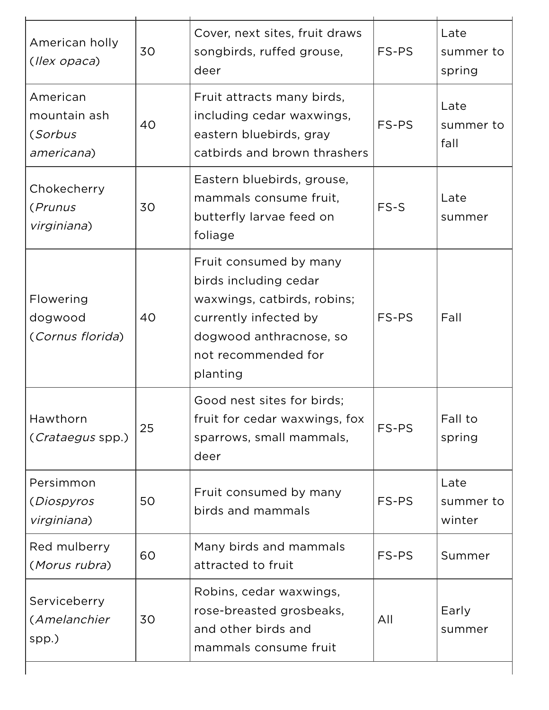| American holly<br>(llex opaca)                    | 30 | Cover, next sites, fruit draws<br>songbirds, ruffed grouse,<br>deer                                                                                                   | FS-PS | Late<br>summer to<br>spring |
|---------------------------------------------------|----|-----------------------------------------------------------------------------------------------------------------------------------------------------------------------|-------|-----------------------------|
| American<br>mountain ash<br>(Sorbus<br>americana) | 40 | Fruit attracts many birds,<br>including cedar waxwings,<br>eastern bluebirds, gray<br>catbirds and brown thrashers                                                    | FS-PS | Late<br>summer to<br>fall   |
| Chokecherry<br>(Prunus<br>virginiana)             | 30 | Eastern bluebirds, grouse,<br>mammals consume fruit,<br>butterfly larvae feed on<br>foliage                                                                           | FS-S  | Late<br>summer              |
| Flowering<br>dogwood<br>(Cornus florida)          | 40 | Fruit consumed by many<br>birds including cedar<br>waxwings, catbirds, robins;<br>currently infected by<br>dogwood anthracnose, so<br>not recommended for<br>planting | FS-PS | Fall                        |
| Hawthorn<br>(Crataegus spp.)                      | 25 | Good nest sites for birds;<br>fruit for cedar waxwings, fox<br>sparrows, small mammals,<br>deer                                                                       | FS-PS | Fall to<br>spring           |
| Persimmon<br>(Diospyros<br>virginiana)            | 50 | Fruit consumed by many<br>birds and mammals                                                                                                                           | FS-PS | Late<br>summer to<br>winter |
| Red mulberry<br>(Morus rubra)                     | 60 | Many birds and mammals<br>attracted to fruit                                                                                                                          | FS-PS | Summer                      |
| Serviceberry<br>(Amelanchier<br>spp.)             | 30 | Robins, cedar waxwings,<br>rose-breasted grosbeaks,<br>and other birds and<br>mammals consume fruit                                                                   | All   | Early<br>summer             |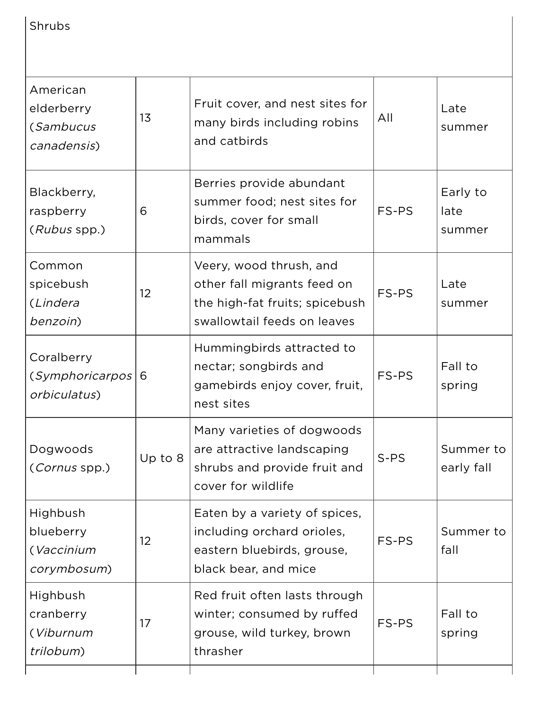| Shrubs                                             |           |                                                                                                                         |        |                            |
|----------------------------------------------------|-----------|-------------------------------------------------------------------------------------------------------------------------|--------|----------------------------|
| American<br>elderberry<br>(Sambucus<br>canadensis) | 13        | Fruit cover, and nest sites for<br>many birds including robins<br>and catbirds                                          | All    | Late<br>summer             |
| Blackberry,<br>raspberry<br>(Rubus spp.)           | 6         | Berries provide abundant<br>summer food; nest sites for<br>birds, cover for small<br>mammals                            | FS-PS  | Early to<br>late<br>summer |
| Common<br>spicebush<br>(Lindera<br>benzoin)        | 12        | Veery, wood thrush, and<br>other fall migrants feed on<br>the high-fat fruits; spicebush<br>swallowtail feeds on leaves | FS-PS  | Late<br>summer             |
| Coralberry<br>(Symphoricarpos)<br>orbiculatus)     | 6         | Hummingbirds attracted to<br>nectar; songbirds and<br>gamebirds enjoy cover, fruit,<br>nest sites                       | FS-PS  | Fall to<br>spring          |
| Dogwoods<br>(Cornus spp.)                          | Up to $8$ | Many varieties of dogwoods<br>are attractive landscaping<br>shrubs and provide fruit and<br>cover for wildlife          | $S-PS$ | Summer to<br>early fall    |
| Highbush<br>blueberry<br>(Vaccinium<br>corymbosum) | 12        | Eaten by a variety of spices,<br>including orchard orioles,<br>eastern bluebirds, grouse,<br>black bear, and mice       | FS-PS  | Summer to<br>fall          |
| Highbush<br>cranberry<br>(Viburnum<br>trilobum)    | 17        | Red fruit often lasts through<br>winter; consumed by ruffed<br>grouse, wild turkey, brown<br>thrasher                   | FS-PS  | Fall to<br>spring          |
|                                                    |           |                                                                                                                         |        |                            |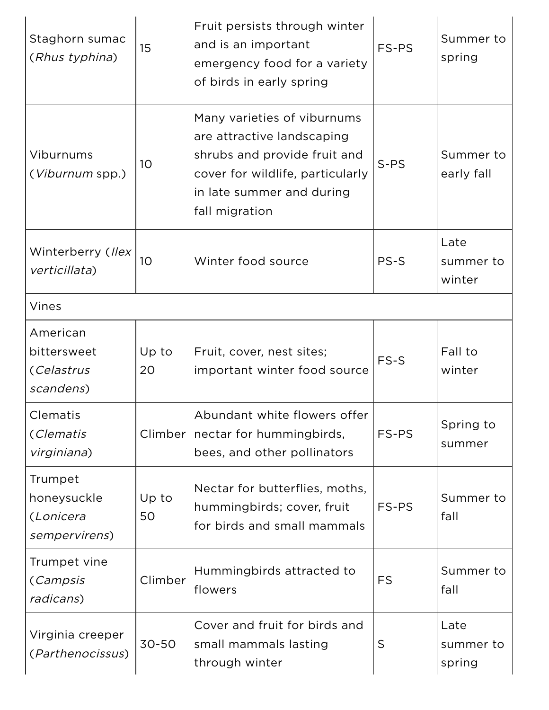| Staghorn sumac<br>(Rhus typhina)                     | 15              | Fruit persists through winter<br>and is an important<br>emergency food for a variety<br>of birds in early spring                                                             | FS-PS     | Summer to<br>spring         |
|------------------------------------------------------|-----------------|------------------------------------------------------------------------------------------------------------------------------------------------------------------------------|-----------|-----------------------------|
| Viburnums<br>( <i>Viburnum</i> spp.)                 | 10 <sup>°</sup> | Many varieties of viburnums<br>are attractive landscaping<br>shrubs and provide fruit and<br>cover for wildlife, particularly<br>in late summer and during<br>fall migration | $S-PS$    | Summer to<br>early fall     |
| Winterberry (Ilex<br>verticillata)                   | 10 <sup>°</sup> | Winter food source                                                                                                                                                           | PS-S      | Late<br>summer to<br>winter |
| Vines                                                |                 |                                                                                                                                                                              |           |                             |
| American<br>bittersweet<br>(Celastrus<br>scandens)   | Up to<br>20     | Fruit, cover, nest sites;<br>important winter food source                                                                                                                    | FS-S      | Fall to<br>winter           |
| Clematis<br>(Clematis<br>virginiana)                 | Climber         | Abundant white flowers offer<br>nectar for hummingbirds,<br>bees, and other pollinators                                                                                      | FS-PS     | Spring to<br>summer         |
| Trumpet<br>honeysuckle<br>(Lonicera<br>sempervirens) | Up to<br>50     | Nectar for butterflies, moths,<br>hummingbirds; cover, fruit<br>for birds and small mammals                                                                                  | FS-PS     | Summer to<br>fall           |
| Trumpet vine<br>(Campsis<br>radicans)                | Climber         | Hummingbirds attracted to<br>flowers                                                                                                                                         | <b>FS</b> | Summer to<br>fall           |
| Virginia creeper<br>(Parthenocissus)                 | 30-50           | Cover and fruit for birds and<br>small mammals lasting<br>through winter                                                                                                     | S         | Late<br>summer to<br>spring |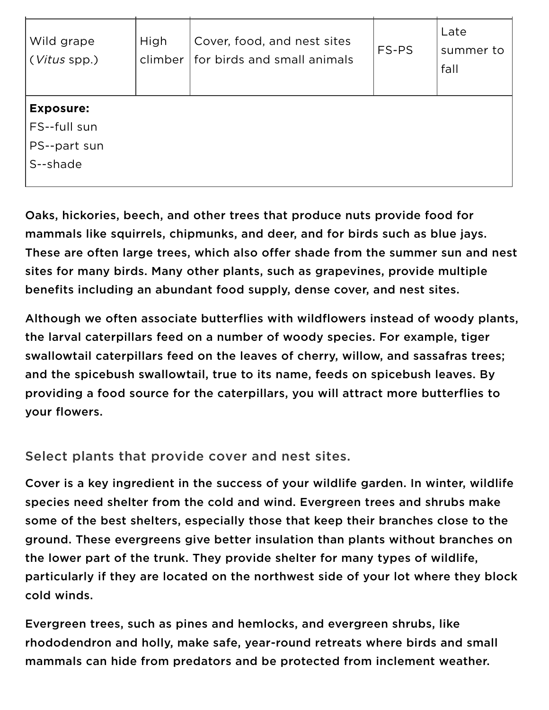| Wild grape<br>(Vitus spp.)                                   | High<br>climber | Cover, food, and nest sites<br>for birds and small animals | FS-PS | Late<br>summer to<br>fall |
|--------------------------------------------------------------|-----------------|------------------------------------------------------------|-------|---------------------------|
| <b>Exposure:</b><br>FS--full sun<br>PS--part sun<br>S--shade |                 |                                                            |       |                           |

Oaks, hickories, beech, and other trees that produce nuts provide food for mammals like squirrels, chipmunks, and deer, and for birds such as blue jays. These are often large trees, which also offer shade from the summer sun and nest sites for many birds. Many other plants, such as grapevines, provide multiple benefits including an abundant food supply, dense cover, and nest sites.

Although we often associate butterflies with wildflowers instead of woody plants, the larval caterpillars feed on a number of woody species. For example, tiger swallowtail caterpillars feed on the leaves of cherry, willow, and sassafras trees; and the spicebush swallowtail, true to its name, feeds on spicebush leaves. By providing a food source for the caterpillars, you will attract more butterflies to your flowers.

Select plants that provide cover and nest sites.

Cover is a key ingredient in the success of your wildlife garden. In winter, wildlife species need shelter from the cold and wind. Evergreen trees and shrubs make some of the best shelters, especially those that keep their branches close to the ground. These evergreens give better insulation than plants without branches on the lower part of the trunk. They provide shelter for many types of wildlife, particularly if they are located on the northwest side of your lot where they block cold winds.

Evergreen trees, such as pines and hemlocks, and evergreen shrubs, like rhododendron and holly, make safe, year-round retreats where birds and small mammals can hide from predators and be protected from inclement weather.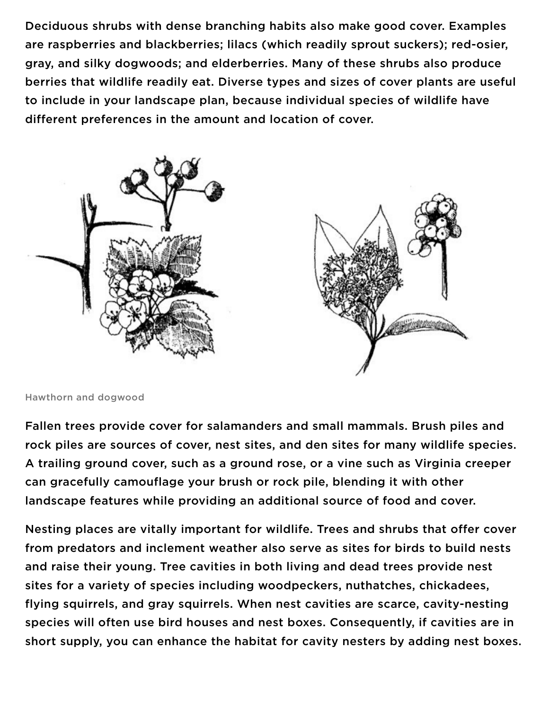Deciduous shrubs with dense branching habits also make good cover. Examples are raspberries and blackberries; lilacs (which readily sprout suckers); red-osier, gray, and silky dogwoods; and elderberries. Many of these shrubs also produce berries that wildlife readily eat. Diverse types and sizes of cover plants are useful to include in your landscape plan, because individual species of wildlife have different preferences in the amount and location of cover.



Hawthorn and dogwood

Fallen trees provide cover for salamanders and small mammals. Brush piles and rock piles are sources of cover, nest sites, and den sites for many wildlife species. A trailing ground cover, such as a ground rose, or a vine such as Virginia creeper can gracefully camouflage your brush or rock pile, blending it with other landscape features while providing an additional source of food and cover.

Nesting places are vitally important for wildlife. Trees and shrubs that offer cover from predators and inclement weather also serve as sites for birds to build nests and raise their young. Tree cavities in both living and dead trees provide nest sites for a variety of species including woodpeckers, nuthatches, chickadees, flying squirrels, and gray squirrels. When nest cavities are scarce, cavity-nesting species will often use bird houses and nest boxes. Consequently, if cavities are in short supply, you can enhance the habitat for cavity nesters by adding nest boxes.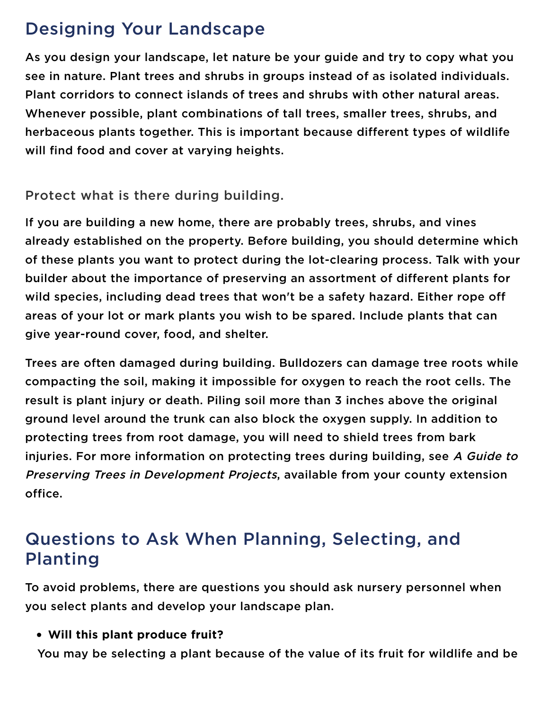# Designing Your Landscape

As you design your landscape, let nature be your guide and try to copy what you see in nature. Plant trees and shrubs in groups instead of as isolated individuals. Plant corridors to connect islands of trees and shrubs with other natural areas. Whenever possible, plant combinations of tall trees, smaller trees, shrubs, and herbaceous plants together. This is important because different types of wildlife will find food and cover at varying heights.

Protect what is there during building.

If you are building a new home, there are probably trees, shrubs, and vines already established on the property. Before building, you should determine which of these plants you want to protect during the lot-clearing process. Talk with your builder about the importance of preserving an assortment of different plants for wild species, including dead trees that won't be a safety hazard. Either rope off areas of your lot or mark plants you wish to be spared. Include plants that can give year-round cover, food, and shelter.

Trees are often damaged during building. Bulldozers can damage tree roots while compacting the soil, making it impossible for oxygen to reach the root cells. The result is plant injury or death. Piling soil more than 3 inches above the original ground level around the trunk can also block the oxygen supply. In addition to protecting trees from root damage, you will need to shield trees from bark injuries. For more information on protecting trees during building, see A Guide to Preserving Trees in Development Projects, available from your county extension office.

# Questions to Ask When Planning, Selecting, and Planting

To avoid problems, there are questions you should ask nursery personnel when you select plants and develop your landscape plan.

Will this plant produce fruit?

You may be selecting a plant because of the value of its fruit for wildlife and be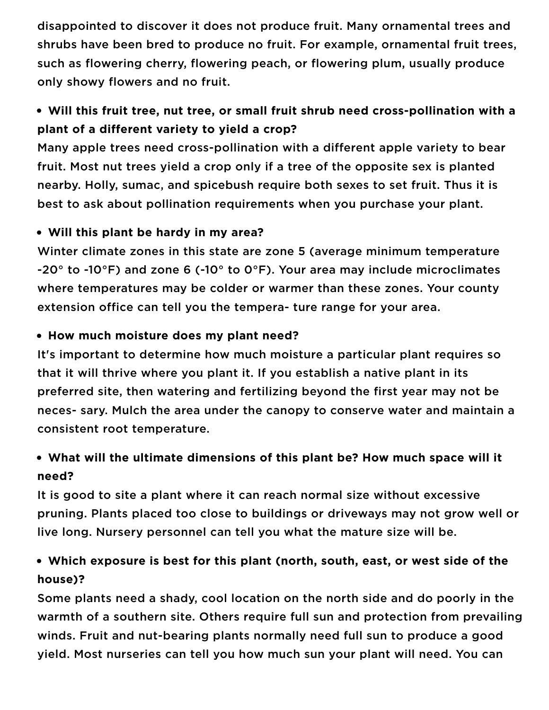disappointed to discover it does not produce fruit. Many ornamental trees and shrubs have been bred to produce no fruit. For example, ornamental fruit trees, such as flowering cherry, flowering peach, or flowering plum, usually produce only showy flowers and no fruit.

# Will this fruit tree, nut tree, or small fruit shrub need cross-pollination with a plant of a different variety to yield a crop?

Many apple trees need cross-pollination with a different apple variety to bear fruit. Most nut trees yield a crop only if a tree of the opposite sex is planted nearby. Holly, sumac, and spicebush require both sexes to set fruit. Thus it is best to ask about pollination requirements when you purchase your plant.

#### Will this plant be hardy in my area?

Winter climate zones in this state are zone 5 (average minimum temperature -20° to -10°F) and zone 6 (-10° to 0°F). Your area may include microclimates where temperatures may be colder or warmer than these zones. Your county extension office can tell you the tempera- ture range for your area.

#### • How much moisture does my plant need?

It's important to determine how much moisture a particular plant requires so that it will thrive where you plant it. If you establish a native plant in its preferred site, then watering and fertilizing beyond the first year may not be neces- sary. Mulch the area under the canopy to conserve water and maintain a consistent root temperature.

### What will the ultimate dimensions of this plant be? How much space will it need?

It is good to site a plant where it can reach normal size without excessive pruning. Plants placed too close to buildings or driveways may not grow well or live long. Nursery personnel can tell you what the mature size will be.

## Which exposure is best for this plant (north, south, east, or west side of the house)?

Some plants need a shady, cool location on the north side and do poorly in the warmth of a southern site. Others require full sun and protection from prevailing winds. Fruit and nut-bearing plants normally need full sun to produce a good yield. Most nurseries can tell you how much sun your plant will need. You can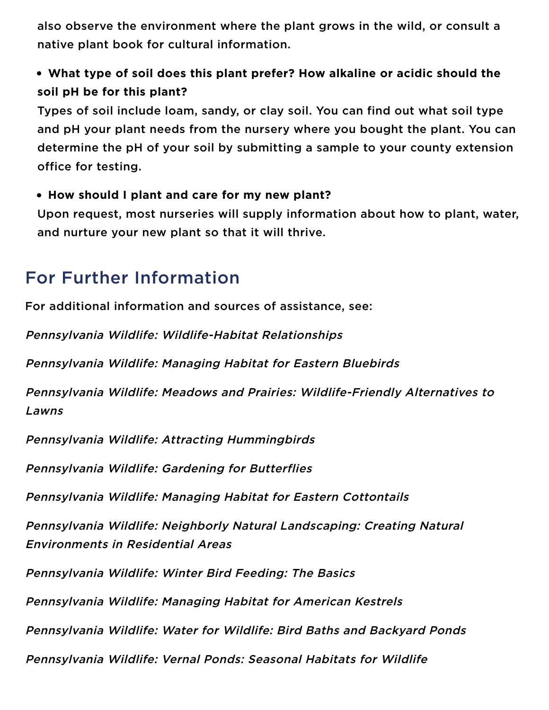also observe the environment where the plant grows in the wild, or consult a native plant book for cultural information.

# What type of soil does this plant prefer? How alkaline or acidic should the soil pH be for this plant?

Types of soil include loam, sandy, or clay soil. You can find out what soil type and pH your plant needs from the nursery where you bought the plant. You can determine the pH of your soil by submitting a sample to your county extension office for testing.

#### How should I plant and care for my new plant?

Upon request, most nurseries will supply information about how to plant, water, and nurture your new plant so that it will thrive.

# For Further Information

For additional information and sources of assistance, see:

Pennsylvania Wildlife: Wildlife-Habitat Relationships

Pennsylvania Wildlife: Managing Habitat for Eastern Bluebirds

Pennsylvania Wildlife: Meadows and Prairies: Wildlife-Friendly Alternatives to Lawns

Pennsylvania Wildlife: Attracting Hummingbirds

Pennsylvania Wildlife: Gardening for Butterflies

Pennsylvania Wildlife: Managing Habitat for Eastern Cottontails

Pennsylvania Wildlife: Neighborly Natural Landscaping: Creating Natural Environments in Residential Areas

Pennsylvania Wildlife: Winter Bird Feeding: The Basics

Pennsylvania Wildlife: Managing Habitat for American Kestrels

Pennsylvania Wildlife: Water for Wildlife: Bird Baths and Backyard Ponds

Pennsylvania Wildlife: Vernal Ponds: Seasonal Habitats for Wildlife